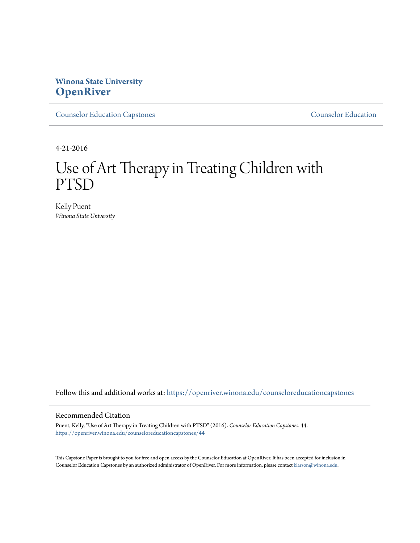## **Winona State University [OpenRiver](https://openriver.winona.edu?utm_source=openriver.winona.edu%2Fcounseloreducationcapstones%2F44&utm_medium=PDF&utm_campaign=PDFCoverPages)**

[Counselor Education Capstones](https://openriver.winona.edu/counseloreducationcapstones?utm_source=openriver.winona.edu%2Fcounseloreducationcapstones%2F44&utm_medium=PDF&utm_campaign=PDFCoverPages) [Counselor Education](https://openriver.winona.edu/counseloreducation?utm_source=openriver.winona.edu%2Fcounseloreducationcapstones%2F44&utm_medium=PDF&utm_campaign=PDFCoverPages)

4-21-2016

# Use of Art Therapy in Treating Children with PTSD

Kelly Puent *Winona State University*

Follow this and additional works at: [https://openriver.winona.edu/counseloreducationcapstones](https://openriver.winona.edu/counseloreducationcapstones?utm_source=openriver.winona.edu%2Fcounseloreducationcapstones%2F44&utm_medium=PDF&utm_campaign=PDFCoverPages)

## Recommended Citation

Puent, Kelly, "Use of Art Therapy in Treating Children with PTSD" (2016). *Counselor Education Capstones*. 44. [https://openriver.winona.edu/counseloreducationcapstones/44](https://openriver.winona.edu/counseloreducationcapstones/44?utm_source=openriver.winona.edu%2Fcounseloreducationcapstones%2F44&utm_medium=PDF&utm_campaign=PDFCoverPages)

This Capstone Paper is brought to you for free and open access by the Counselor Education at OpenRiver. It has been accepted for inclusion in Counselor Education Capstones by an authorized administrator of OpenRiver. For more information, please contact [klarson@winona.edu](mailto:klarson@winona.edu).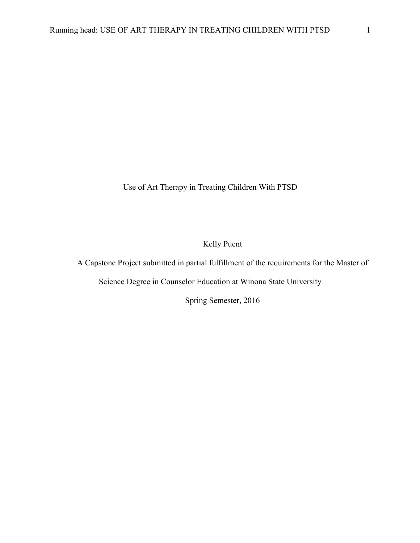Use of Art Therapy in Treating Children With PTSD

Kelly Puent

A Capstone Project submitted in partial fulfillment of the requirements for the Master of

Science Degree in Counselor Education at Winona State University

Spring Semester, 2016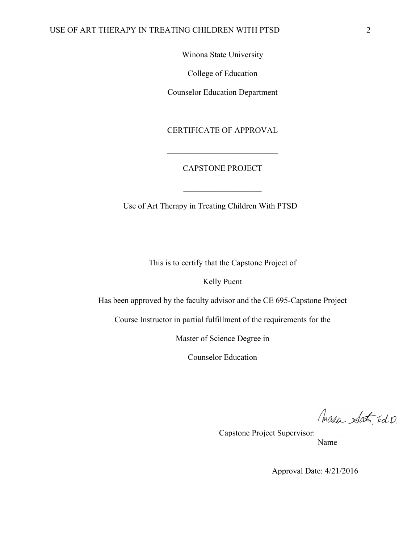Winona State University

College of Education

Counselor Education Department

CERTIFICATE OF APPROVAL

## CAPSTONE PROJECT

 $\overline{\phantom{a}}$  , where  $\overline{\phantom{a}}$ 

\_\_\_\_\_\_\_\_\_\_\_\_\_\_\_\_\_\_\_\_\_\_\_\_\_\_\_

Use of Art Therapy in Treating Children With PTSD

This is to certify that the Capstone Project of

Kelly Puent

Has been approved by the faculty advisor and the CE 695-Capstone Project

Course Instructor in partial fulfillment of the requirements for the

Master of Science Degree in

Counselor Education

Masa Sat, Ed. D.

Capstone Project Supervisor:

Name

Approval Date: 4/21/2016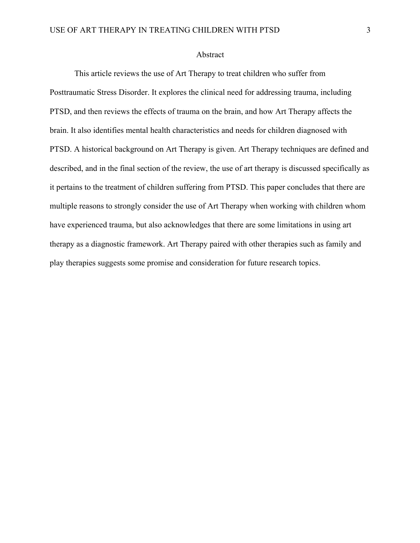## Abstract

This article reviews the use of Art Therapy to treat children who suffer from Posttraumatic Stress Disorder. It explores the clinical need for addressing trauma, including PTSD, and then reviews the effects of trauma on the brain, and how Art Therapy affects the brain. It also identifies mental health characteristics and needs for children diagnosed with PTSD. A historical background on Art Therapy is given. Art Therapy techniques are defined and described, and in the final section of the review, the use of art therapy is discussed specifically as it pertains to the treatment of children suffering from PTSD. This paper concludes that there are multiple reasons to strongly consider the use of Art Therapy when working with children whom have experienced trauma, but also acknowledges that there are some limitations in using art therapy as a diagnostic framework. Art Therapy paired with other therapies such as family and play therapies suggests some promise and consideration for future research topics.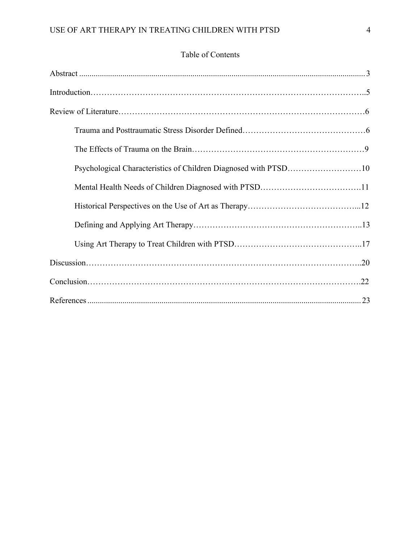# Table of Contents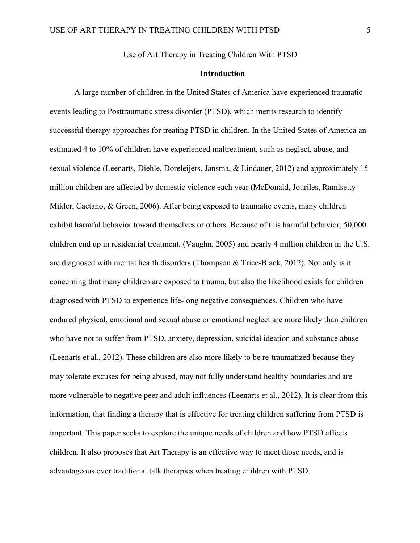Use of Art Therapy in Treating Children With PTSD

## **Introduction**

A large number of children in the United States of America have experienced traumatic events leading to Posttraumatic stress disorder (PTSD), which merits research to identify successful therapy approaches for treating PTSD in children. In the United States of America an estimated 4 to 10% of children have experienced maltreatment, such as neglect, abuse, and sexual violence (Leenarts, Diehle, Doreleijers, Jansma, & Lindauer, 2012) and approximately 15 million children are affected by domestic violence each year (McDonald, Jouriles, Ramisetty-Mikler, Caetano, & Green, 2006). After being exposed to traumatic events, many children exhibit harmful behavior toward themselves or others. Because of this harmful behavior, 50,000 children end up in residential treatment, (Vaughn, 2005) and nearly 4 million children in the U.S. are diagnosed with mental health disorders (Thompson & Trice-Black, 2012). Not only is it concerning that many children are exposed to trauma, but also the likelihood exists for children diagnosed with PTSD to experience life-long negative consequences. Children who have endured physical, emotional and sexual abuse or emotional neglect are more likely than children who have not to suffer from PTSD, anxiety, depression, suicidal ideation and substance abuse (Leenarts et al., 2012). These children are also more likely to be re-traumatized because they may tolerate excuses for being abused, may not fully understand healthy boundaries and are more vulnerable to negative peer and adult influences (Leenarts et al., 2012). It is clear from this information, that finding a therapy that is effective for treating children suffering from PTSD is important. This paper seeks to explore the unique needs of children and how PTSD affects children. It also proposes that Art Therapy is an effective way to meet those needs, and is advantageous over traditional talk therapies when treating children with PTSD.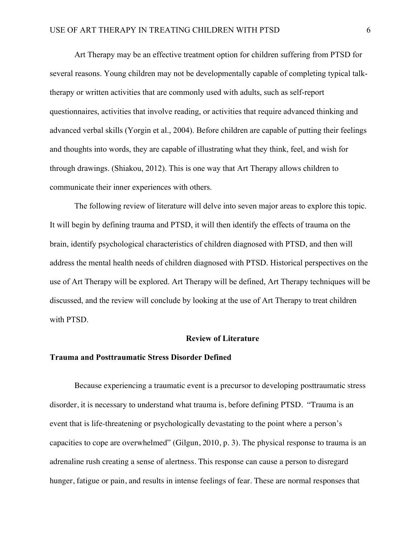Art Therapy may be an effective treatment option for children suffering from PTSD for several reasons. Young children may not be developmentally capable of completing typical talktherapy or written activities that are commonly used with adults, such as self-report questionnaires, activities that involve reading, or activities that require advanced thinking and advanced verbal skills (Yorgin et al., 2004). Before children are capable of putting their feelings and thoughts into words, they are capable of illustrating what they think, feel, and wish for through drawings. (Shiakou, 2012). This is one way that Art Therapy allows children to communicate their inner experiences with others.

The following review of literature will delve into seven major areas to explore this topic. It will begin by defining trauma and PTSD, it will then identify the effects of trauma on the brain, identify psychological characteristics of children diagnosed with PTSD, and then will address the mental health needs of children diagnosed with PTSD. Historical perspectives on the use of Art Therapy will be explored. Art Therapy will be defined, Art Therapy techniques will be discussed, and the review will conclude by looking at the use of Art Therapy to treat children with PTSD.

### **Review of Literature**

#### **Trauma and Posttraumatic Stress Disorder Defined**

Because experiencing a traumatic event is a precursor to developing posttraumatic stress disorder, it is necessary to understand what trauma is, before defining PTSD. "Trauma is an event that is life-threatening or psychologically devastating to the point where a person's capacities to cope are overwhelmed" (Gilgun, 2010, p. 3). The physical response to trauma is an adrenaline rush creating a sense of alertness. This response can cause a person to disregard hunger, fatigue or pain, and results in intense feelings of fear. These are normal responses that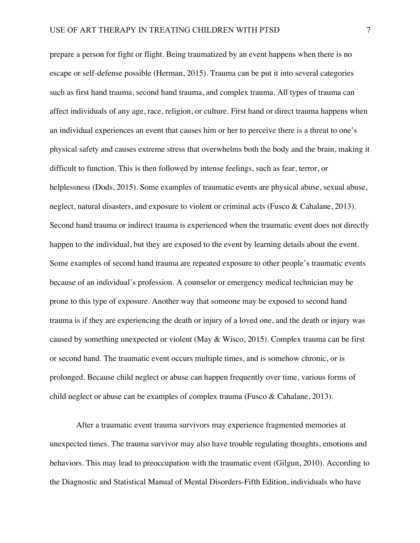prepare a person for fight or flight. Being traumatized by an event happens when there is no escape or self-defense possible (Herman, 2015). Trauma can be put it into several categories such as first hand trauma, second hand trauma, and complex trauma. All types of trauma can affect individuals of any age, race, religion, or culture. First hand or direct trauma happens when an individual experiences an event that causes him or her to perceive there is a threat to one's physical safety and causes extreme stress that overwhelms both the body and the brain, making it difficult to function. This is then followed by intense feelings, such as fear, terror, or helplessness (Dods, 2015). Some examples of traumatic events are physical abuse, sexual abuse, neglect, natural disasters, and exposure to violent or criminal acts (Fusco & Cahalane, 2013). Second hand trauma or indirect trauma is experienced when the traumatic event does not directly happen to the individual, but they are exposed to the event by learning details about the event. Some examples of second hand trauma are repeated exposure to other people's traumatic events because of an individual's profession. A counselor or emergency medical technician may be prone to this type of exposure. Another way that someone may be exposed to second hand trauma is if they are experiencing the death or injury of a loved one, and the death or injury was caused by something unexpected or violent (May & Wisco, 2015). Complex trauma can be first or second hand. The traumatic event occurs multiple times, and is somehow chronic, or is prolonged. Because child neglect or abuse can happen frequently over time, various forms of child neglect or abuse can be examples of complex trauma (Fusco & Cahalane, 2013).

After a traumatic event trauma survivors may experience fragmented memories at unexpected times. The trauma survivor may also have trouble regulating thoughts, emotions and behaviors. This may lead to preoccupation with the traumatic event (Gilgun, 2010). According to the Diagnostic and Statistical Manual of Mental Disorders-Fifth Edition, individuals who have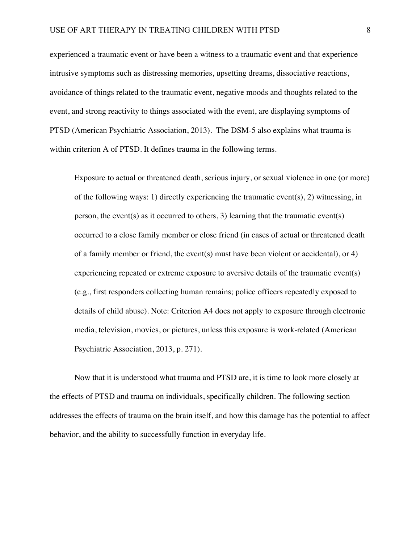experienced a traumatic event or have been a witness to a traumatic event and that experience intrusive symptoms such as distressing memories, upsetting dreams, dissociative reactions, avoidance of things related to the traumatic event, negative moods and thoughts related to the event, and strong reactivity to things associated with the event, are displaying symptoms of PTSD (American Psychiatric Association, 2013). The DSM-5 also explains what trauma is within criterion A of PTSD. It defines trauma in the following terms.

Exposure to actual or threatened death, serious injury, or sexual violence in one (or more) of the following ways: 1) directly experiencing the traumatic event(s), 2) witnessing, in person, the event(s) as it occurred to others, 3) learning that the traumatic event(s) occurred to a close family member or close friend (in cases of actual or threatened death of a family member or friend, the event(s) must have been violent or accidental), or 4) experiencing repeated or extreme exposure to aversive details of the traumatic event(s) (e.g., first responders collecting human remains; police officers repeatedly exposed to details of child abuse). Note: Criterion A4 does not apply to exposure through electronic media, television, movies, or pictures, unless this exposure is work-related (American Psychiatric Association, 2013, p. 271).

Now that it is understood what trauma and PTSD are, it is time to look more closely at the effects of PTSD and trauma on individuals, specifically children. The following section addresses the effects of trauma on the brain itself, and how this damage has the potential to affect behavior, and the ability to successfully function in everyday life.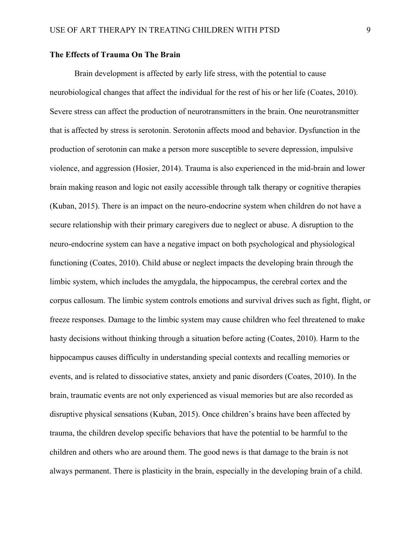## **The Effects of Trauma On The Brain**

Brain development is affected by early life stress, with the potential to cause neurobiological changes that affect the individual for the rest of his or her life (Coates, 2010). Severe stress can affect the production of neurotransmitters in the brain. One neurotransmitter that is affected by stress is serotonin. Serotonin affects mood and behavior. Dysfunction in the production of serotonin can make a person more susceptible to severe depression, impulsive violence, and aggression (Hosier, 2014). Trauma is also experienced in the mid-brain and lower brain making reason and logic not easily accessible through talk therapy or cognitive therapies (Kuban, 2015). There is an impact on the neuro-endocrine system when children do not have a secure relationship with their primary caregivers due to neglect or abuse. A disruption to the neuro-endocrine system can have a negative impact on both psychological and physiological functioning (Coates, 2010). Child abuse or neglect impacts the developing brain through the limbic system, which includes the amygdala, the hippocampus, the cerebral cortex and the corpus callosum. The limbic system controls emotions and survival drives such as fight, flight, or freeze responses. Damage to the limbic system may cause children who feel threatened to make hasty decisions without thinking through a situation before acting (Coates, 2010). Harm to the hippocampus causes difficulty in understanding special contexts and recalling memories or events, and is related to dissociative states, anxiety and panic disorders (Coates, 2010). In the brain, traumatic events are not only experienced as visual memories but are also recorded as disruptive physical sensations (Kuban, 2015). Once children's brains have been affected by trauma, the children develop specific behaviors that have the potential to be harmful to the children and others who are around them. The good news is that damage to the brain is not always permanent. There is plasticity in the brain, especially in the developing brain of a child.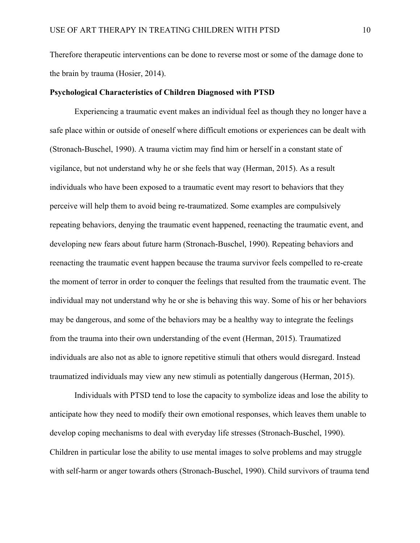Therefore therapeutic interventions can be done to reverse most or some of the damage done to the brain by trauma (Hosier, 2014).

### **Psychological Characteristics of Children Diagnosed with PTSD**

Experiencing a traumatic event makes an individual feel as though they no longer have a safe place within or outside of oneself where difficult emotions or experiences can be dealt with (Stronach-Buschel, 1990). A trauma victim may find him or herself in a constant state of vigilance, but not understand why he or she feels that way (Herman, 2015). As a result individuals who have been exposed to a traumatic event may resort to behaviors that they perceive will help them to avoid being re-traumatized. Some examples are compulsively repeating behaviors, denying the traumatic event happened, reenacting the traumatic event, and developing new fears about future harm (Stronach-Buschel, 1990). Repeating behaviors and reenacting the traumatic event happen because the trauma survivor feels compelled to re-create the moment of terror in order to conquer the feelings that resulted from the traumatic event. The individual may not understand why he or she is behaving this way. Some of his or her behaviors may be dangerous, and some of the behaviors may be a healthy way to integrate the feelings from the trauma into their own understanding of the event (Herman, 2015). Traumatized individuals are also not as able to ignore repetitive stimuli that others would disregard. Instead traumatized individuals may view any new stimuli as potentially dangerous (Herman, 2015).

Individuals with PTSD tend to lose the capacity to symbolize ideas and lose the ability to anticipate how they need to modify their own emotional responses, which leaves them unable to develop coping mechanisms to deal with everyday life stresses (Stronach-Buschel, 1990). Children in particular lose the ability to use mental images to solve problems and may struggle with self-harm or anger towards others (Stronach-Buschel, 1990). Child survivors of trauma tend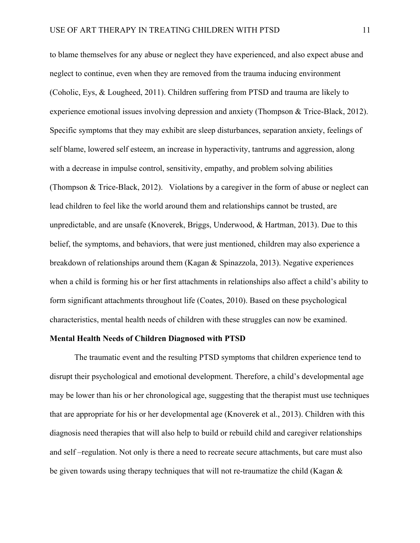to blame themselves for any abuse or neglect they have experienced, and also expect abuse and neglect to continue, even when they are removed from the trauma inducing environment (Coholic, Eys, & Lougheed, 2011). Children suffering from PTSD and trauma are likely to experience emotional issues involving depression and anxiety (Thompson & Trice-Black, 2012). Specific symptoms that they may exhibit are sleep disturbances, separation anxiety, feelings of self blame, lowered self esteem, an increase in hyperactivity, tantrums and aggression, along with a decrease in impulse control, sensitivity, empathy, and problem solving abilities (Thompson & Trice-Black, 2012). Violations by a caregiver in the form of abuse or neglect can lead children to feel like the world around them and relationships cannot be trusted, are unpredictable, and are unsafe (Knoverek, Briggs, Underwood, & Hartman, 2013). Due to this belief, the symptoms, and behaviors, that were just mentioned, children may also experience a breakdown of relationships around them (Kagan & Spinazzola, 2013). Negative experiences when a child is forming his or her first attachments in relationships also affect a child's ability to form significant attachments throughout life (Coates, 2010). Based on these psychological characteristics, mental health needs of children with these struggles can now be examined.

### **Mental Health Needs of Children Diagnosed with PTSD**

The traumatic event and the resulting PTSD symptoms that children experience tend to disrupt their psychological and emotional development. Therefore, a child's developmental age may be lower than his or her chronological age, suggesting that the therapist must use techniques that are appropriate for his or her developmental age (Knoverek et al., 2013). Children with this diagnosis need therapies that will also help to build or rebuild child and caregiver relationships and self –regulation. Not only is there a need to recreate secure attachments, but care must also be given towards using therapy techniques that will not re-traumatize the child (Kagan &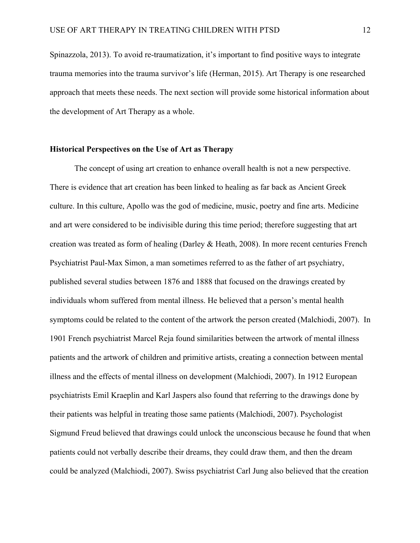Spinazzola, 2013). To avoid re-traumatization, it's important to find positive ways to integrate trauma memories into the trauma survivor's life (Herman, 2015). Art Therapy is one researched approach that meets these needs. The next section will provide some historical information about the development of Art Therapy as a whole.

## **Historical Perspectives on the Use of Art as Therapy**

The concept of using art creation to enhance overall health is not a new perspective. There is evidence that art creation has been linked to healing as far back as Ancient Greek culture. In this culture, Apollo was the god of medicine, music, poetry and fine arts. Medicine and art were considered to be indivisible during this time period; therefore suggesting that art creation was treated as form of healing (Darley & Heath, 2008). In more recent centuries French Psychiatrist Paul-Max Simon, a man sometimes referred to as the father of art psychiatry, published several studies between 1876 and 1888 that focused on the drawings created by individuals whom suffered from mental illness. He believed that a person's mental health symptoms could be related to the content of the artwork the person created (Malchiodi, 2007). In 1901 French psychiatrist Marcel Reja found similarities between the artwork of mental illness patients and the artwork of children and primitive artists, creating a connection between mental illness and the effects of mental illness on development (Malchiodi, 2007). In 1912 European psychiatrists Emil Kraeplin and Karl Jaspers also found that referring to the drawings done by their patients was helpful in treating those same patients (Malchiodi, 2007). Psychologist Sigmund Freud believed that drawings could unlock the unconscious because he found that when patients could not verbally describe their dreams, they could draw them, and then the dream could be analyzed (Malchiodi, 2007). Swiss psychiatrist Carl Jung also believed that the creation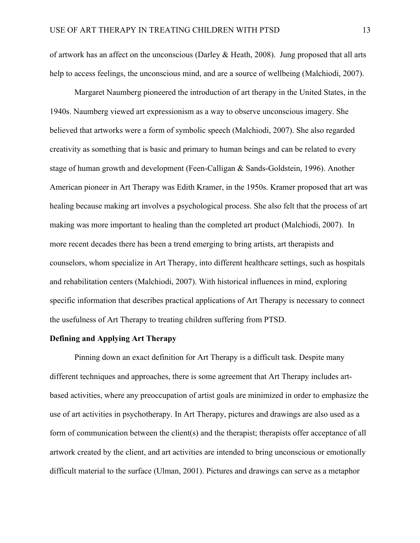of artwork has an affect on the unconscious (Darley & Heath, 2008). Jung proposed that all arts help to access feelings, the unconscious mind, and are a source of wellbeing (Malchiodi, 2007).

Margaret Naumberg pioneered the introduction of art therapy in the United States, in the 1940s. Naumberg viewed art expressionism as a way to observe unconscious imagery. She believed that artworks were a form of symbolic speech (Malchiodi, 2007). She also regarded creativity as something that is basic and primary to human beings and can be related to every stage of human growth and development (Feen-Calligan & Sands-Goldstein, 1996). Another American pioneer in Art Therapy was Edith Kramer, in the 1950s. Kramer proposed that art was healing because making art involves a psychological process. She also felt that the process of art making was more important to healing than the completed art product (Malchiodi, 2007). In more recent decades there has been a trend emerging to bring artists, art therapists and counselors, whom specialize in Art Therapy, into different healthcare settings, such as hospitals and rehabilitation centers (Malchiodi, 2007). With historical influences in mind, exploring specific information that describes practical applications of Art Therapy is necessary to connect the usefulness of Art Therapy to treating children suffering from PTSD.

## **Defining and Applying Art Therapy**

Pinning down an exact definition for Art Therapy is a difficult task. Despite many different techniques and approaches, there is some agreement that Art Therapy includes artbased activities, where any preoccupation of artist goals are minimized in order to emphasize the use of art activities in psychotherapy. In Art Therapy, pictures and drawings are also used as a form of communication between the client(s) and the therapist; therapists offer acceptance of all artwork created by the client, and art activities are intended to bring unconscious or emotionally difficult material to the surface (Ulman, 2001). Pictures and drawings can serve as a metaphor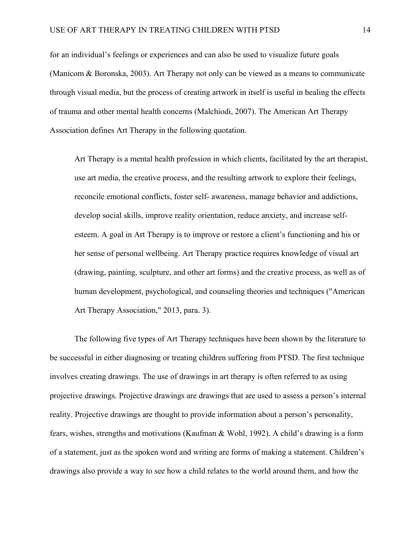for an individual's feelings or experiences and can also be used to visualize future goals (Manicom & Boronska, 2003). Art Therapy not only can be viewed as a means to communicate through visual media, but the process of creating artwork in itself is useful in healing the effects of trauma and other mental health concerns (Malchiodi, 2007). The American Art Therapy Association defines Art Therapy in the following quotation.

Art Therapy is a mental health profession in which clients, facilitated by the art therapist, use art media, the creative process, and the resulting artwork to explore their feelings, reconcile emotional conflicts, foster self- awareness, manage behavior and addictions, develop social skills, improve reality orientation, reduce anxiety, and increase selfesteem. A goal in Art Therapy is to improve or restore a client's functioning and his or her sense of personal wellbeing. Art Therapy practice requires knowledge of visual art (drawing, painting, sculpture, and other art forms) and the creative process, as well as of human development, psychological, and counseling theories and techniques ("American Art Therapy Association," 2013, para. 3).

The following five types of Art Therapy techniques have been shown by the literature to be successful in either diagnosing or treating children suffering from PTSD. The first technique involves creating drawings. The use of drawings in art therapy is often referred to as using projective drawings. Projective drawings are drawings that are used to assess a person's internal reality. Projective drawings are thought to provide information about a person's personality, fears, wishes, strengths and motivations (Kaufman & Wohl, 1992). A child's drawing is a form of a statement, just as the spoken word and writing are forms of making a statement. Children's drawings also provide a way to see how a child relates to the world around them, and how the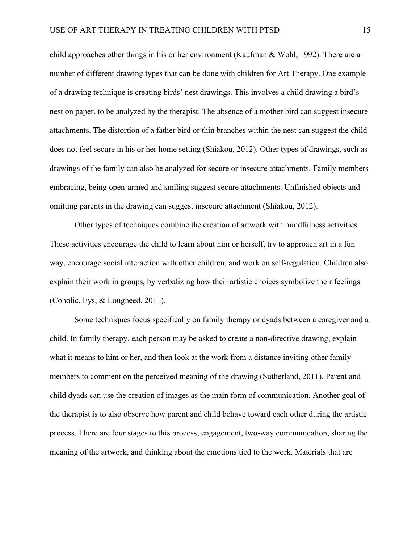child approaches other things in his or her environment (Kaufman & Wohl, 1992). There are a number of different drawing types that can be done with children for Art Therapy. One example of a drawing technique is creating birds' nest drawings. This involves a child drawing a bird's nest on paper, to be analyzed by the therapist. The absence of a mother bird can suggest insecure attachments. The distortion of a father bird or thin branches within the nest can suggest the child does not feel secure in his or her home setting (Shiakou, 2012). Other types of drawings, such as drawings of the family can also be analyzed for secure or insecure attachments. Family members embracing, being open-armed and smiling suggest secure attachments. Unfinished objects and omitting parents in the drawing can suggest insecure attachment (Shiakou, 2012).

Other types of techniques combine the creation of artwork with mindfulness activities. These activities encourage the child to learn about him or herself, try to approach art in a fun way, encourage social interaction with other children, and work on self-regulation. Children also explain their work in groups, by verbalizing how their artistic choices symbolize their feelings (Coholic, Eys, & Lougheed, 2011).

Some techniques focus specifically on family therapy or dyads between a caregiver and a child. In family therapy, each person may be asked to create a non-directive drawing, explain what it means to him or her, and then look at the work from a distance inviting other family members to comment on the perceived meaning of the drawing (Sutherland, 2011). Parent and child dyads can use the creation of images as the main form of communication. Another goal of the therapist is to also observe how parent and child behave toward each other during the artistic process. There are four stages to this process; engagement, two-way communication, sharing the meaning of the artwork, and thinking about the emotions tied to the work. Materials that are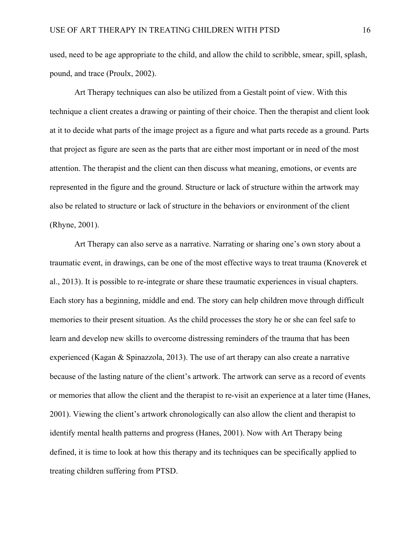used, need to be age appropriate to the child, and allow the child to scribble, smear, spill, splash, pound, and trace (Proulx, 2002).

Art Therapy techniques can also be utilized from a Gestalt point of view. With this technique a client creates a drawing or painting of their choice. Then the therapist and client look at it to decide what parts of the image project as a figure and what parts recede as a ground. Parts that project as figure are seen as the parts that are either most important or in need of the most attention. The therapist and the client can then discuss what meaning, emotions, or events are represented in the figure and the ground. Structure or lack of structure within the artwork may also be related to structure or lack of structure in the behaviors or environment of the client (Rhyne, 2001).

Art Therapy can also serve as a narrative. Narrating or sharing one's own story about a traumatic event, in drawings, can be one of the most effective ways to treat trauma (Knoverek et al., 2013). It is possible to re-integrate or share these traumatic experiences in visual chapters. Each story has a beginning, middle and end. The story can help children move through difficult memories to their present situation. As the child processes the story he or she can feel safe to learn and develop new skills to overcome distressing reminders of the trauma that has been experienced (Kagan & Spinazzola, 2013). The use of art therapy can also create a narrative because of the lasting nature of the client's artwork. The artwork can serve as a record of events or memories that allow the client and the therapist to re-visit an experience at a later time (Hanes, 2001). Viewing the client's artwork chronologically can also allow the client and therapist to identify mental health patterns and progress (Hanes, 2001). Now with Art Therapy being defined, it is time to look at how this therapy and its techniques can be specifically applied to treating children suffering from PTSD.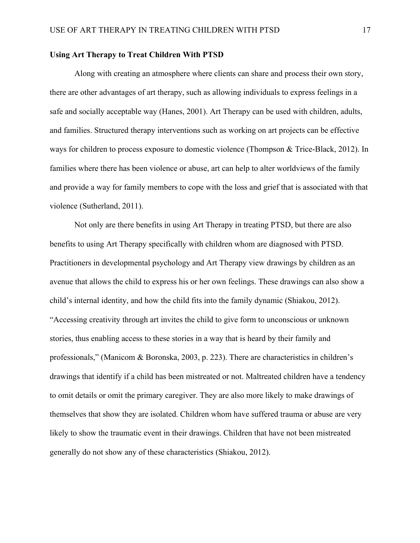## **Using Art Therapy to Treat Children With PTSD**

Along with creating an atmosphere where clients can share and process their own story, there are other advantages of art therapy, such as allowing individuals to express feelings in a safe and socially acceptable way (Hanes, 2001). Art Therapy can be used with children, adults, and families. Structured therapy interventions such as working on art projects can be effective ways for children to process exposure to domestic violence (Thompson & Trice-Black, 2012). In families where there has been violence or abuse, art can help to alter worldviews of the family and provide a way for family members to cope with the loss and grief that is associated with that violence (Sutherland, 2011).

Not only are there benefits in using Art Therapy in treating PTSD, but there are also benefits to using Art Therapy specifically with children whom are diagnosed with PTSD. Practitioners in developmental psychology and Art Therapy view drawings by children as an avenue that allows the child to express his or her own feelings. These drawings can also show a child's internal identity, and how the child fits into the family dynamic (Shiakou, 2012). "Accessing creativity through art invites the child to give form to unconscious or unknown stories, thus enabling access to these stories in a way that is heard by their family and professionals," (Manicom & Boronska, 2003, p. 223). There are characteristics in children's drawings that identify if a child has been mistreated or not. Maltreated children have a tendency to omit details or omit the primary caregiver. They are also more likely to make drawings of themselves that show they are isolated. Children whom have suffered trauma or abuse are very likely to show the traumatic event in their drawings. Children that have not been mistreated generally do not show any of these characteristics (Shiakou, 2012).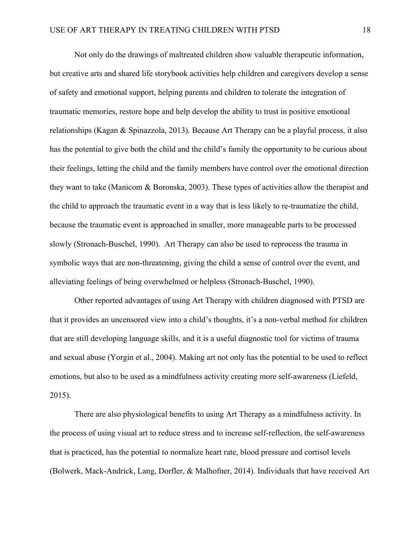Not only do the drawings of maltreated children show valuable therapeutic information, but creative arts and shared life storybook activities help children and caregivers develop a sense of safety and emotional support, helping parents and children to tolerate the integration of traumatic memories, restore hope and help develop the ability to trust in positive emotional relationships (Kagan & Spinazzola, 2013). Because Art Therapy can be a playful process, it also has the potential to give both the child and the child's family the opportunity to be curious about their feelings, letting the child and the family members have control over the emotional direction they want to take (Manicom & Boronska, 2003). These types of activities allow the therapist and the child to approach the traumatic event in a way that is less likely to re-traumatize the child, because the traumatic event is approached in smaller, more manageable parts to be processed slowly (Stronach-Buschel, 1990). Art Therapy can also be used to reprocess the trauma in symbolic ways that are non-threatening, giving the child a sense of control over the event, and alleviating feelings of being overwhelmed or helpless (Stronach-Buschel, 1990).

Other reported advantages of using Art Therapy with children diagnosed with PTSD are that it provides an uncensored view into a child's thoughts, it's a non-verbal method for children that are still developing language skills, and it is a useful diagnostic tool for victims of trauma and sexual abuse (Yorgin et al., 2004). Making art not only has the potential to be used to reflect emotions, but also to be used as a mindfulness activity creating more self-awareness (Liefeld, 2015).

There are also physiological benefits to using Art Therapy as a mindfulness activity. In the process of using visual art to reduce stress and to increase self-reflection, the self-awareness that is practiced, has the potential to normalize heart rate, blood pressure and cortisol levels (Bolwerk, Mack-Andrick, Lang, Dorfler, & Malhofner, 2014). Individuals that have received Art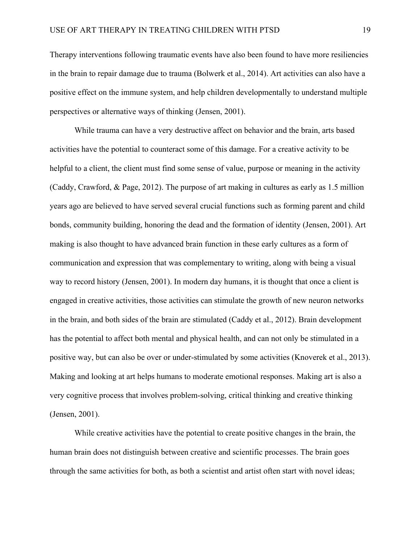Therapy interventions following traumatic events have also been found to have more resiliencies in the brain to repair damage due to trauma (Bolwerk et al., 2014). Art activities can also have a positive effect on the immune system, and help children developmentally to understand multiple perspectives or alternative ways of thinking (Jensen, 2001).

While trauma can have a very destructive affect on behavior and the brain, arts based activities have the potential to counteract some of this damage. For a creative activity to be helpful to a client, the client must find some sense of value, purpose or meaning in the activity (Caddy, Crawford, & Page, 2012). The purpose of art making in cultures as early as 1.5 million years ago are believed to have served several crucial functions such as forming parent and child bonds, community building, honoring the dead and the formation of identity (Jensen, 2001). Art making is also thought to have advanced brain function in these early cultures as a form of communication and expression that was complementary to writing, along with being a visual way to record history (Jensen, 2001). In modern day humans, it is thought that once a client is engaged in creative activities, those activities can stimulate the growth of new neuron networks in the brain, and both sides of the brain are stimulated (Caddy et al., 2012). Brain development has the potential to affect both mental and physical health, and can not only be stimulated in a positive way, but can also be over or under-stimulated by some activities (Knoverek et al., 2013). Making and looking at art helps humans to moderate emotional responses. Making art is also a very cognitive process that involves problem-solving, critical thinking and creative thinking (Jensen, 2001).

While creative activities have the potential to create positive changes in the brain, the human brain does not distinguish between creative and scientific processes. The brain goes through the same activities for both, as both a scientist and artist often start with novel ideas;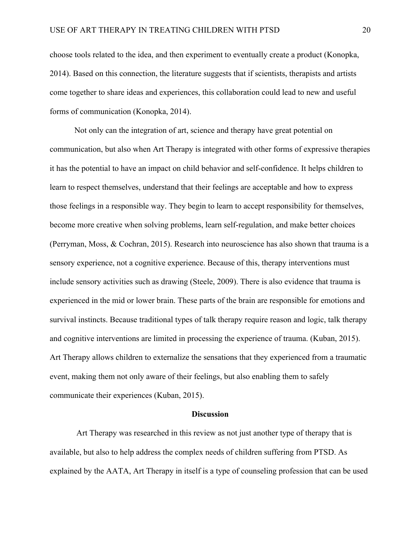choose tools related to the idea, and then experiment to eventually create a product (Konopka, 2014). Based on this connection, the literature suggests that if scientists, therapists and artists come together to share ideas and experiences, this collaboration could lead to new and useful forms of communication (Konopka, 2014).

Not only can the integration of art, science and therapy have great potential on communication, but also when Art Therapy is integrated with other forms of expressive therapies it has the potential to have an impact on child behavior and self-confidence. It helps children to learn to respect themselves, understand that their feelings are acceptable and how to express those feelings in a responsible way. They begin to learn to accept responsibility for themselves, become more creative when solving problems, learn self-regulation, and make better choices (Perryman, Moss, & Cochran, 2015). Research into neuroscience has also shown that trauma is a sensory experience, not a cognitive experience. Because of this, therapy interventions must include sensory activities such as drawing (Steele, 2009). There is also evidence that trauma is experienced in the mid or lower brain. These parts of the brain are responsible for emotions and survival instincts. Because traditional types of talk therapy require reason and logic, talk therapy and cognitive interventions are limited in processing the experience of trauma. (Kuban, 2015). Art Therapy allows children to externalize the sensations that they experienced from a traumatic event, making them not only aware of their feelings, but also enabling them to safely communicate their experiences (Kuban, 2015).

## **Discussion**

Art Therapy was researched in this review as not just another type of therapy that is available, but also to help address the complex needs of children suffering from PTSD. As explained by the AATA, Art Therapy in itself is a type of counseling profession that can be used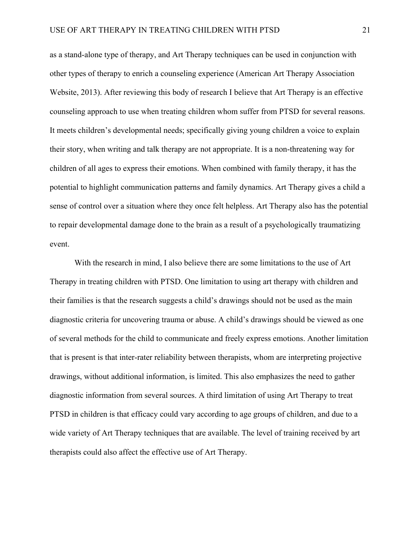as a stand-alone type of therapy, and Art Therapy techniques can be used in conjunction with other types of therapy to enrich a counseling experience (American Art Therapy Association Website, 2013). After reviewing this body of research I believe that Art Therapy is an effective counseling approach to use when treating children whom suffer from PTSD for several reasons. It meets children's developmental needs; specifically giving young children a voice to explain their story, when writing and talk therapy are not appropriate. It is a non-threatening way for children of all ages to express their emotions. When combined with family therapy, it has the potential to highlight communication patterns and family dynamics. Art Therapy gives a child a sense of control over a situation where they once felt helpless. Art Therapy also has the potential to repair developmental damage done to the brain as a result of a psychologically traumatizing event.

With the research in mind, I also believe there are some limitations to the use of Art Therapy in treating children with PTSD. One limitation to using art therapy with children and their families is that the research suggests a child's drawings should not be used as the main diagnostic criteria for uncovering trauma or abuse. A child's drawings should be viewed as one of several methods for the child to communicate and freely express emotions. Another limitation that is present is that inter-rater reliability between therapists, whom are interpreting projective drawings, without additional information, is limited. This also emphasizes the need to gather diagnostic information from several sources. A third limitation of using Art Therapy to treat PTSD in children is that efficacy could vary according to age groups of children, and due to a wide variety of Art Therapy techniques that are available. The level of training received by art therapists could also affect the effective use of Art Therapy.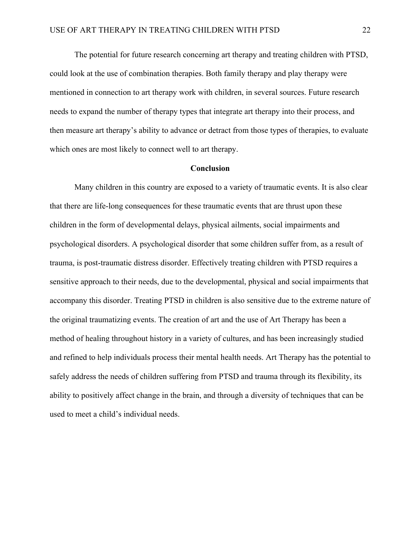The potential for future research concerning art therapy and treating children with PTSD, could look at the use of combination therapies. Both family therapy and play therapy were mentioned in connection to art therapy work with children, in several sources. Future research needs to expand the number of therapy types that integrate art therapy into their process, and then measure art therapy's ability to advance or detract from those types of therapies, to evaluate which ones are most likely to connect well to art therapy.

## **Conclusion**

Many children in this country are exposed to a variety of traumatic events. It is also clear that there are life-long consequences for these traumatic events that are thrust upon these children in the form of developmental delays, physical ailments, social impairments and psychological disorders. A psychological disorder that some children suffer from, as a result of trauma, is post-traumatic distress disorder. Effectively treating children with PTSD requires a sensitive approach to their needs, due to the developmental, physical and social impairments that accompany this disorder. Treating PTSD in children is also sensitive due to the extreme nature of the original traumatizing events. The creation of art and the use of Art Therapy has been a method of healing throughout history in a variety of cultures, and has been increasingly studied and refined to help individuals process their mental health needs. Art Therapy has the potential to safely address the needs of children suffering from PTSD and trauma through its flexibility, its ability to positively affect change in the brain, and through a diversity of techniques that can be used to meet a child's individual needs.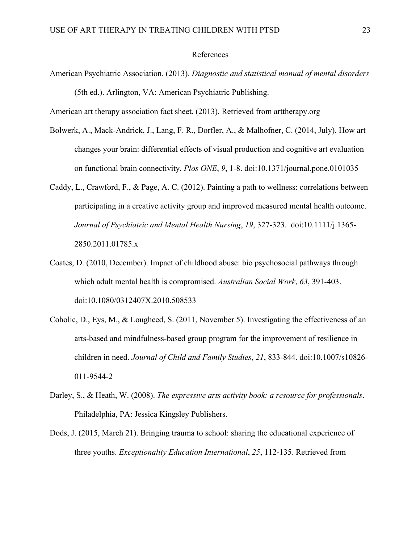### References

American Psychiatric Association. (2013). *Diagnostic and statistical manual of mental disorders*  (5th ed.). Arlington, VA: American Psychiatric Publishing.

American art therapy association fact sheet. (2013). Retrieved from arttherapy.org

- Bolwerk, A., Mack-Andrick, J., Lang, F. R., Dorfler, A., & Malhofner, C. (2014, July). How art changes your brain: differential effects of visual production and cognitive art evaluation on functional brain connectivity. *Plos ONE*, *9*, 1-8. doi:10.1371/journal.pone.0101035
- Caddy, L., Crawford, F., & Page, A. C. (2012). Painting a path to wellness: correlations between participating in a creative activity group and improved measured mental health outcome. *Journal of Psychiatric and Mental Health Nursing*, *19*, 327-323. doi:10.1111/j.1365- 2850.2011.01785.x
- Coates, D. (2010, December). Impact of childhood abuse: bio psychosocial pathways through which adult mental health is compromised. *Australian Social Work*, *63*, 391-403. doi:10.1080/0312407X.2010.508533
- Coholic, D., Eys, M., & Lougheed, S. (2011, November 5). Investigating the effectiveness of an arts-based and mindfulness-based group program for the improvement of resilience in children in need. *Journal of Child and Family Studies*, *21*, 833-844. doi:10.1007/s10826- 011-9544-2
- Darley, S., & Heath, W. (2008). *The expressive arts activity book: a resource for professionals*. Philadelphia, PA: Jessica Kingsley Publishers.
- Dods, J. (2015, March 21). Bringing trauma to school: sharing the educational experience of three youths. *Exceptionality Education International*, *25*, 112-135. Retrieved from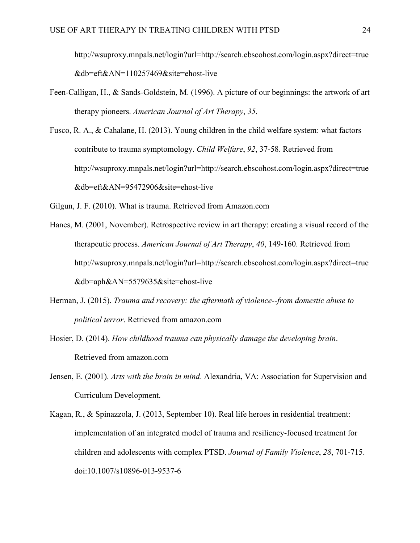http://wsuproxy.mnpals.net/login?url=http://search.ebscohost.com/login.aspx?direct=true &db=eft&AN=110257469&site=ehost-live

- Feen-Calligan, H., & Sands-Goldstein, M. (1996). A picture of our beginnings: the artwork of art therapy pioneers. *American Journal of Art Therapy*, *35*.
- Fusco, R. A., & Cahalane, H. (2013). Young children in the child welfare system: what factors contribute to trauma symptomology. *Child Welfare*, *92*, 37-58. Retrieved from http://wsuproxy.mnpals.net/login?url=http://search.ebscohost.com/login.aspx?direct=true &db=eft&AN=95472906&site=ehost-live

Gilgun, J. F. (2010). What is trauma. Retrieved from Amazon.com

- Hanes, M. (2001, November). Retrospective review in art therapy: creating a visual record of the therapeutic process. *American Journal of Art Therapy*, *40*, 149-160. Retrieved from http://wsuproxy.mnpals.net/login?url=http://search.ebscohost.com/login.aspx?direct=true &db=aph&AN=5579635&site=ehost-live
- Herman, J. (2015). *Trauma and recovery: the aftermath of violence--from domestic abuse to political terror*. Retrieved from amazon.com
- Hosier, D. (2014). *How childhood trauma can physically damage the developing brain*. Retrieved from amazon.com
- Jensen, E. (2001). *Arts with the brain in mind*. Alexandria, VA: Association for Supervision and Curriculum Development.
- Kagan, R., & Spinazzola, J. (2013, September 10). Real life heroes in residential treatment: implementation of an integrated model of trauma and resiliency-focused treatment for children and adolescents with complex PTSD. *Journal of Family Violence*, *28*, 701-715. doi:10.1007/s10896-013-9537-6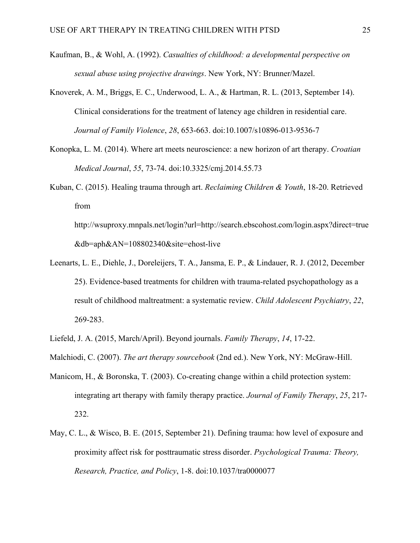- Kaufman, B., & Wohl, A. (1992). *Casualties of childhood: a developmental perspective on sexual abuse using projective drawings*. New York, NY: Brunner/Mazel.
- Knoverek, A. M., Briggs, E. C., Underwood, L. A., & Hartman, R. L. (2013, September 14). Clinical considerations for the treatment of latency age children in residential care. *Journal of Family Violence*, *28*, 653-663. doi:10.1007/s10896-013-9536-7
- Konopka, L. M. (2014). Where art meets neuroscience: a new horizon of art therapy. *Croatian Medical Journal*, *55*, 73-74. doi:10.3325/cmj.2014.55.73
- Kuban, C. (2015). Healing trauma through art. *Reclaiming Children & Youth*, 18-20. Retrieved from

http://wsuproxy.mnpals.net/login?url=http://search.ebscohost.com/login.aspx?direct=true &db=aph&AN=108802340&site=ehost-live

- Leenarts, L. E., Diehle, J., Doreleijers, T. A., Jansma, E. P., & Lindauer, R. J. (2012, December 25). Evidence-based treatments for children with trauma-related psychopathology as a result of childhood maltreatment: a systematic review. *Child Adolescent Psychiatry*, *22*, 269-283.
- Liefeld, J. A. (2015, March/April). Beyond journals. *Family Therapy*, *14*, 17-22.
- Malchiodi, C. (2007). *The art therapy sourcebook* (2nd ed.). New York, NY: McGraw-Hill.
- Manicom, H., & Boronska, T. (2003). Co-creating change within a child protection system: integrating art therapy with family therapy practice. *Journal of Family Therapy*, *25*, 217- 232.
- May, C. L., & Wisco, B. E. (2015, September 21). Defining trauma: how level of exposure and proximity affect risk for posttraumatic stress disorder. *Psychological Trauma: Theory, Research, Practice, and Policy*, 1-8. doi:10.1037/tra0000077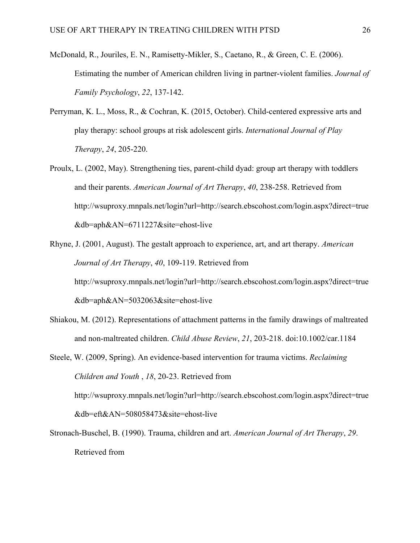- McDonald, R., Jouriles, E. N., Ramisetty-Mikler, S., Caetano, R., & Green, C. E. (2006). Estimating the number of American children living in partner-violent families. *Journal of Family Psychology*, *22*, 137-142.
- Perryman, K. L., Moss, R., & Cochran, K. (2015, October). Child-centered expressive arts and play therapy: school groups at risk adolescent girls. *International Journal of Play Therapy*, *24*, 205-220.
- Proulx, L. (2002, May). Strengthening ties, parent-child dyad: group art therapy with toddlers and their parents. *American Journal of Art Therapy*, *40*, 238-258. Retrieved from http://wsuproxy.mnpals.net/login?url=http://search.ebscohost.com/login.aspx?direct=true &db=aph&AN=6711227&site=ehost-live
- Rhyne, J. (2001, August). The gestalt approach to experience, art, and art therapy. *American Journal of Art Therapy*, *40*, 109-119. Retrieved from http://wsuproxy.mnpals.net/login?url=http://search.ebscohost.com/login.aspx?direct=true &db=aph&AN=5032063&site=ehost-live
- Shiakou, M. (2012). Representations of attachment patterns in the family drawings of maltreated and non-maltreated children. *Child Abuse Review*, *21*, 203-218. doi:10.1002/car.1184

Steele, W. (2009, Spring). An evidence-based intervention for trauma victims. *Reclaiming Children and Youth* , *18*, 20-23. Retrieved from http://wsuproxy.mnpals.net/login?url=http://search.ebscohost.com/login.aspx?direct=true &db=eft&AN=508058473&site=ehost-live

Stronach-Buschel, B. (1990). Trauma, children and art. *American Journal of Art Therapy*, *29*. Retrieved from